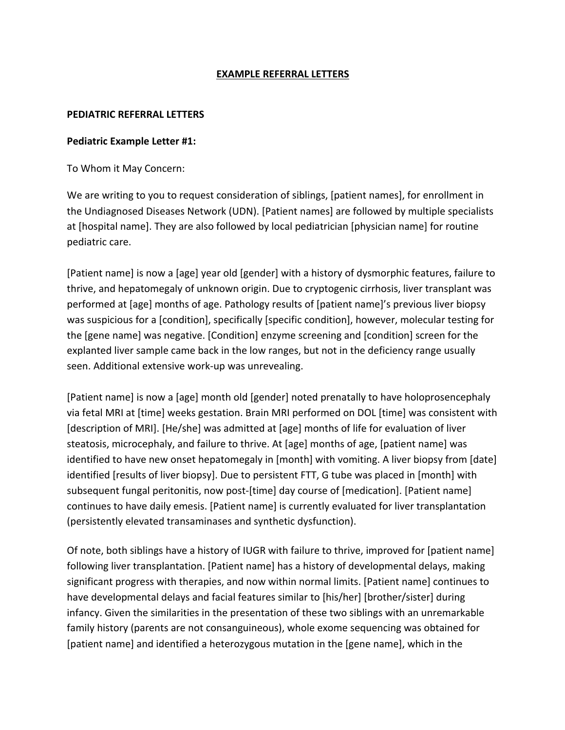# **EXAMPLE REFERRAL LETTERS**

#### **PEDIATRIC REFERRAL LETTERS**

#### **Pediatric Example Letter #1:**

To Whom it May Concern:

We are writing to you to request consideration of siblings, [patient names], for enrollment in the Undiagnosed Diseases Network (UDN). [Patient names] are followed by multiple specialists at [hospital name]. They are also followed by local pediatrician [physician name] for routine pediatric care.

[Patient name] is now a [age] year old [gender] with a history of dysmorphic features, failure to thrive, and hepatomegaly of unknown origin. Due to cryptogenic cirrhosis, liver transplant was performed at [age] months of age. Pathology results of [patient name]'s previous liver biopsy was suspicious for a [condition], specifically [specific condition], however, molecular testing for the [gene name] was negative. [Condition] enzyme screening and [condition] screen for the explanted liver sample came back in the low ranges, but not in the deficiency range usually seen. Additional extensive work-up was unrevealing.

[Patient name] is now a [age] month old [gender] noted prenatally to have holoprosencephaly via fetal MRI at [time] weeks gestation. Brain MRI performed on DOL [time] was consistent with [description of MRI]. [He/she] was admitted at [age] months of life for evaluation of liver steatosis, microcephaly, and failure to thrive. At [age] months of age, [patient name] was identified to have new onset hepatomegaly in [month] with vomiting. A liver biopsy from [date] identified [results of liver biopsy]. Due to persistent FTT, G tube was placed in [month] with subsequent fungal peritonitis, now post-[time] day course of [medication]. [Patient name] continues to have daily emesis. [Patient name] is currently evaluated for liver transplantation (persistently elevated transaminases and synthetic dysfunction).

Of note, both siblings have a history of IUGR with failure to thrive, improved for [patient name] following liver transplantation. [Patient name] has a history of developmental delays, making significant progress with therapies, and now within normal limits. [Patient name] continues to have developmental delays and facial features similar to [his/her] [brother/sister] during infancy. Given the similarities in the presentation of these two siblings with an unremarkable family history (parents are not consanguineous), whole exome sequencing was obtained for [patient name] and identified a heterozygous mutation in the [gene name], which in the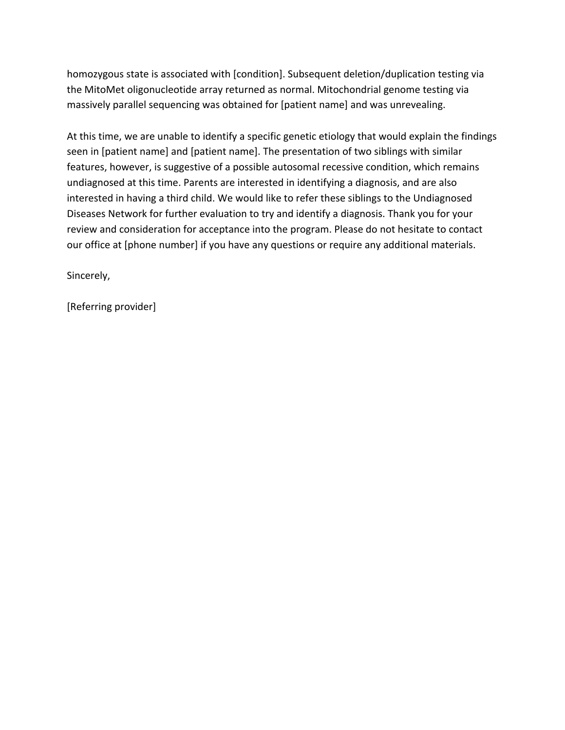homozygous state is associated with [condition]. Subsequent deletion/duplication testing via the MitoMet oligonucleotide array returned as normal. Mitochondrial genome testing via massively parallel sequencing was obtained for [patient name] and was unrevealing.

At this time, we are unable to identify a specific genetic etiology that would explain the findings seen in [patient name] and [patient name]. The presentation of two siblings with similar features, however, is suggestive of a possible autosomal recessive condition, which remains undiagnosed at this time. Parents are interested in identifying a diagnosis, and are also interested in having a third child. We would like to refer these siblings to the Undiagnosed Diseases Network for further evaluation to try and identify a diagnosis. Thank you for your review and consideration for acceptance into the program. Please do not hesitate to contact our office at [phone number] if you have any questions or require any additional materials.

Sincerely,

[Referring provider]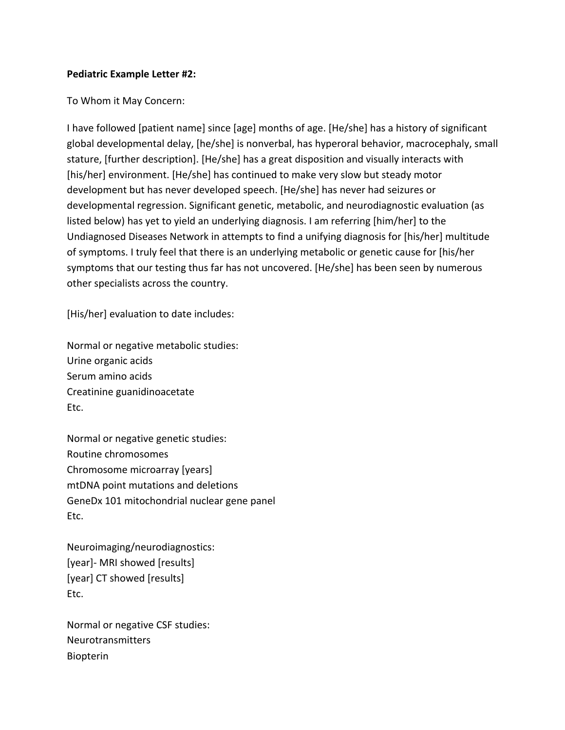### **Pediatric Example Letter #2:**

To Whom it May Concern:

I have followed [patient name] since [age] months of age. [He/she] has a history of significant global developmental delay, [he/she] is nonverbal, has hyperoral behavior, macrocephaly, small stature, [further description]. [He/she] has a great disposition and visually interacts with [his/her] environment. [He/she] has continued to make very slow but steady motor development but has never developed speech. [He/she] has never had seizures or developmental regression. Significant genetic, metabolic, and neurodiagnostic evaluation (as listed below) has yet to yield an underlying diagnosis. I am referring [him/her] to the Undiagnosed Diseases Network in attempts to find a unifying diagnosis for [his/her] multitude of symptoms. I truly feel that there is an underlying metabolic or genetic cause for [his/her symptoms that our testing thus far has not uncovered. [He/she] has been seen by numerous other specialists across the country.

[His/her] evaluation to date includes:

Normal or negative metabolic studies: Urine organic acids Serum amino acids Creatinine guanidinoacetate Etc.

Normal or negative genetic studies: Routine chromosomes Chromosome microarray [years] mtDNA point mutations and deletions GeneDx 101 mitochondrial nuclear gene panel Etc.

Neuroimaging/neurodiagnostics: [year]- MRI showed [results] [year] CT showed [results] Etc.

Normal or negative CSF studies: Neurotransmitters Biopterin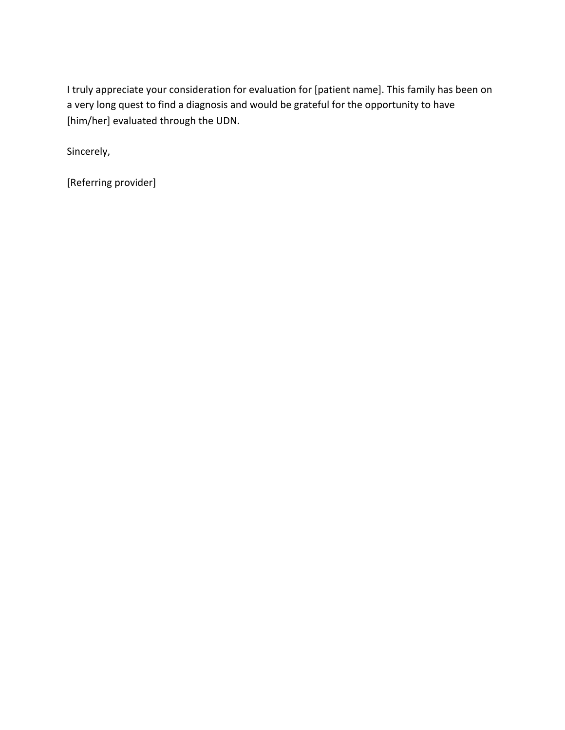I truly appreciate your consideration for evaluation for [patient name]. This family has been on a very long quest to find a diagnosis and would be grateful for the opportunity to have [him/her] evaluated through the UDN.

Sincerely,

[Referring provider]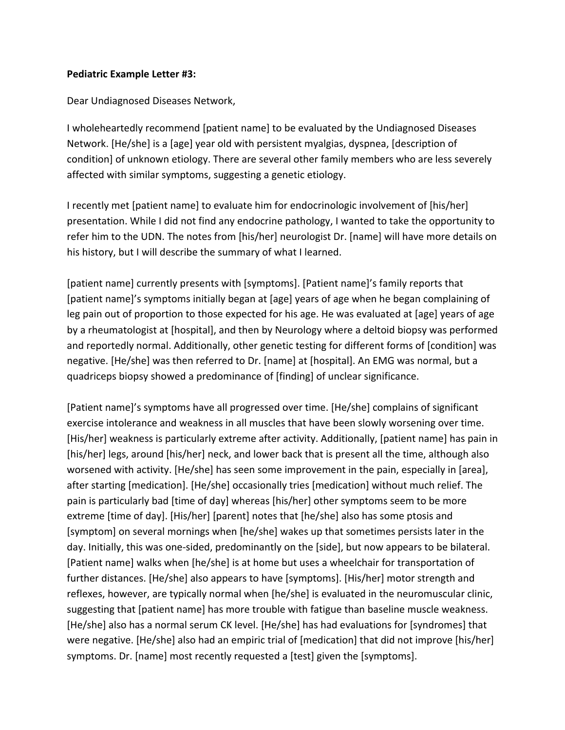### **Pediatric Example Letter #3:**

Dear Undiagnosed Diseases Network,

I wholeheartedly recommend [patient name] to be evaluated by the Undiagnosed Diseases Network. [He/she] is a [age] year old with persistent myalgias, dyspnea, [description of condition] of unknown etiology. There are several other family members who are less severely affected with similar symptoms, suggesting a genetic etiology.

I recently met [patient name] to evaluate him for endocrinologic involvement of [his/her] presentation. While I did not find any endocrine pathology, I wanted to take the opportunity to refer him to the UDN. The notes from [his/her] neurologist Dr. [name] will have more details on his history, but I will describe the summary of what I learned.

[patient name] currently presents with [symptoms]. [Patient name]'s family reports that [patient name]'s symptoms initially began at [age] years of age when he began complaining of leg pain out of proportion to those expected for his age. He was evaluated at [age] years of age by a rheumatologist at [hospital], and then by Neurology where a deltoid biopsy was performed and reportedly normal. Additionally, other genetic testing for different forms of [condition] was negative. [He/she] was then referred to Dr. [name] at [hospital]. An EMG was normal, but a quadriceps biopsy showed a predominance of [finding] of unclear significance.

[Patient name]'s symptoms have all progressed over time. [He/she] complains of significant exercise intolerance and weakness in all muscles that have been slowly worsening over time. [His/her] weakness is particularly extreme after activity. Additionally, [patient name] has pain in [his/her] legs, around [his/her] neck, and lower back that is present all the time, although also worsened with activity. [He/she] has seen some improvement in the pain, especially in [area], after starting [medication]. [He/she] occasionally tries [medication] without much relief. The pain is particularly bad [time of day] whereas [his/her] other symptoms seem to be more extreme [time of day]. [His/her] [parent] notes that [he/she] also has some ptosis and [symptom] on several mornings when [he/she] wakes up that sometimes persists later in the day. Initially, this was one-sided, predominantly on the [side], but now appears to be bilateral. [Patient name] walks when [he/she] is at home but uses a wheelchair for transportation of further distances. [He/she] also appears to have [symptoms]. [His/her] motor strength and reflexes, however, are typically normal when [he/she] is evaluated in the neuromuscular clinic, suggesting that [patient name] has more trouble with fatigue than baseline muscle weakness. [He/she] also has a normal serum CK level. [He/she] has had evaluations for [syndromes] that were negative. [He/she] also had an empiric trial of [medication] that did not improve [his/her] symptoms. Dr. [name] most recently requested a [test] given the [symptoms].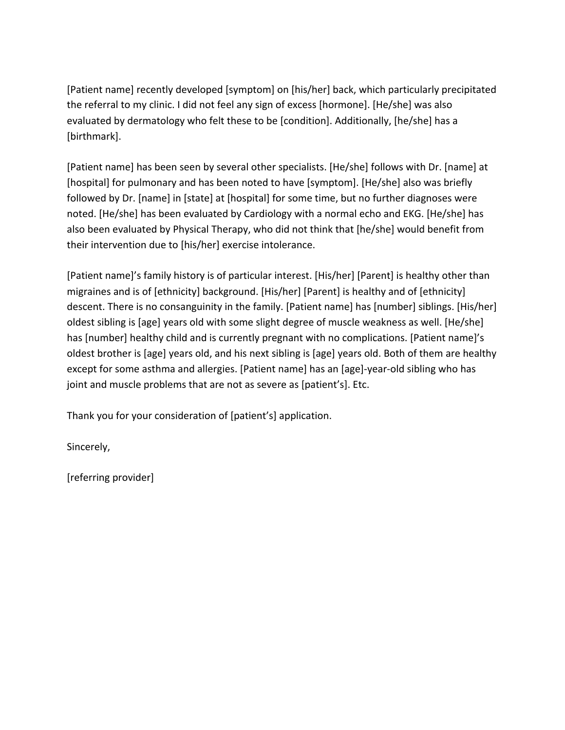[Patient name] recently developed [symptom] on [his/her] back, which particularly precipitated the referral to my clinic. I did not feel any sign of excess [hormone]. [He/she] was also evaluated by dermatology who felt these to be [condition]. Additionally, [he/she] has a [birthmark]. 

[Patient name] has been seen by several other specialists. [He/she] follows with Dr. [name] at [hospital] for pulmonary and has been noted to have [symptom]. [He/she] also was briefly followed by Dr. [name] in [state] at [hospital] for some time, but no further diagnoses were noted. [He/she] has been evaluated by Cardiology with a normal echo and EKG. [He/she] has also been evaluated by Physical Therapy, who did not think that [he/she] would benefit from their intervention due to [his/her] exercise intolerance.

[Patient name]'s family history is of particular interest. [His/her] [Parent] is healthy other than migraines and is of [ethnicity] background. [His/her] [Parent] is healthy and of [ethnicity] descent. There is no consanguinity in the family. [Patient name] has [number] siblings. [His/her] oldest sibling is [age] years old with some slight degree of muscle weakness as well. [He/she] has [number] healthy child and is currently pregnant with no complications. [Patient name]'s oldest brother is [age] years old, and his next sibling is [age] years old. Both of them are healthy except for some asthma and allergies. [Patient name] has an [age]-year-old sibling who has joint and muscle problems that are not as severe as [patient's]. Etc.

Thank you for your consideration of [patient's] application.

Sincerely,

[referring provider]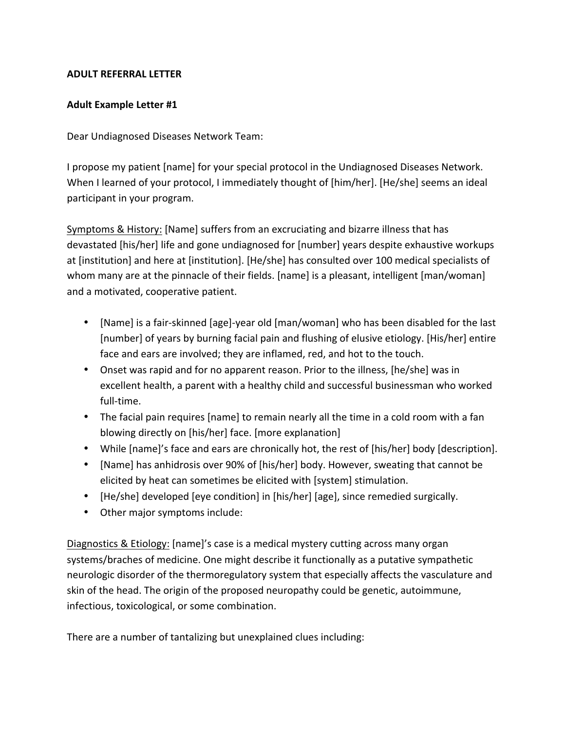# **ADULT REFERRAL LETTER**

# **Adult Example Letter #1**

Dear Undiagnosed Diseases Network Team:

I propose my patient [name] for your special protocol in the Undiagnosed Diseases Network. When I learned of your protocol, I immediately thought of [him/her]. [He/she] seems an ideal participant in your program.

Symptoms & History: [Name] suffers from an excruciating and bizarre illness that has devastated [his/her] life and gone undiagnosed for [number] years despite exhaustive workups at [institution] and here at [institution]. [He/she] has consulted over 100 medical specialists of whom many are at the pinnacle of their fields. [name] is a pleasant, intelligent [man/woman] and a motivated, cooperative patient.

- [Name] is a fair-skinned [age]-year old [man/woman] who has been disabled for the last [number] of years by burning facial pain and flushing of elusive etiology. [His/her] entire face and ears are involved; they are inflamed, red, and hot to the touch.
- Onset was rapid and for no apparent reason. Prior to the illness, [he/she] was in excellent health, a parent with a healthy child and successful businessman who worked full-time.
- The facial pain requires [name] to remain nearly all the time in a cold room with a fan blowing directly on [his/her] face. [more explanation]
- While [name]'s face and ears are chronically hot, the rest of [his/her] body [description].
- [Name] has anhidrosis over 90% of [his/her] body. However, sweating that cannot be elicited by heat can sometimes be elicited with [system] stimulation.
- [He/she] developed [eye condition] in [his/her] [age], since remedied surgically.
- Other major symptoms include:

Diagnostics & Etiology: [name]'s case is a medical mystery cutting across many organ systems/braches of medicine. One might describe it functionally as a putative sympathetic neurologic disorder of the thermoregulatory system that especially affects the vasculature and skin of the head. The origin of the proposed neuropathy could be genetic, autoimmune, infectious, toxicological, or some combination.

There are a number of tantalizing but unexplained clues including: